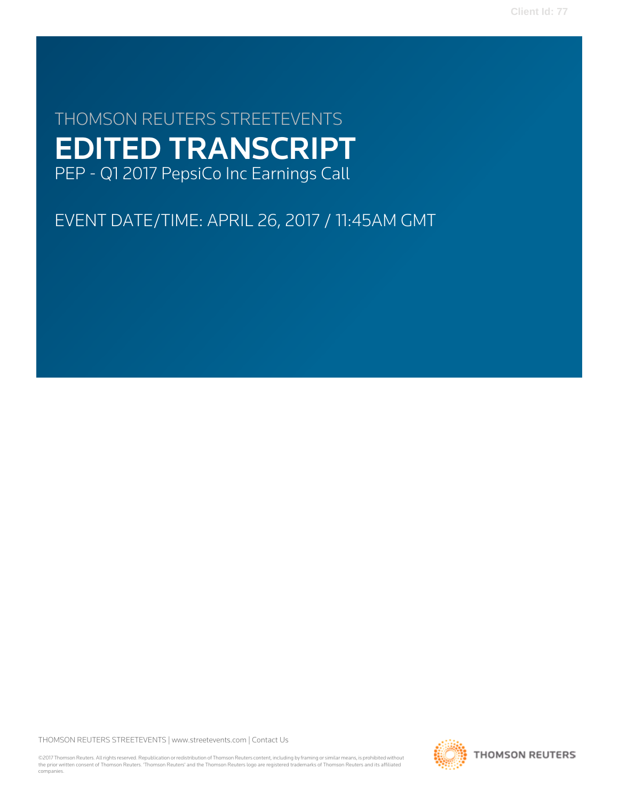**Client Id: 77**

# THOMSON REUTERS STREETEVENTS EDITED TRANSCRIPT PEP - Q1 2017 PepsiCo Inc Earnings Call

EVENT DATE/TIME: APRIL 26, 2017 / 11:45AM GMT

THOMSON REUTERS STREETEVENTS | [www.streetevents.com](http://www.streetevents.com) | [Contact Us](http://www010.streetevents.com/contact.asp)

©2017 Thomson Reuters. All rights reserved. Republication or redistribution of Thomson Reuters content, including by framing or similar means, is prohibited without the prior written consent of Thomson Reuters. 'Thomson Reuters' and the Thomson Reuters logo are registered trademarks of Thomson Reuters and its affiliated companies.

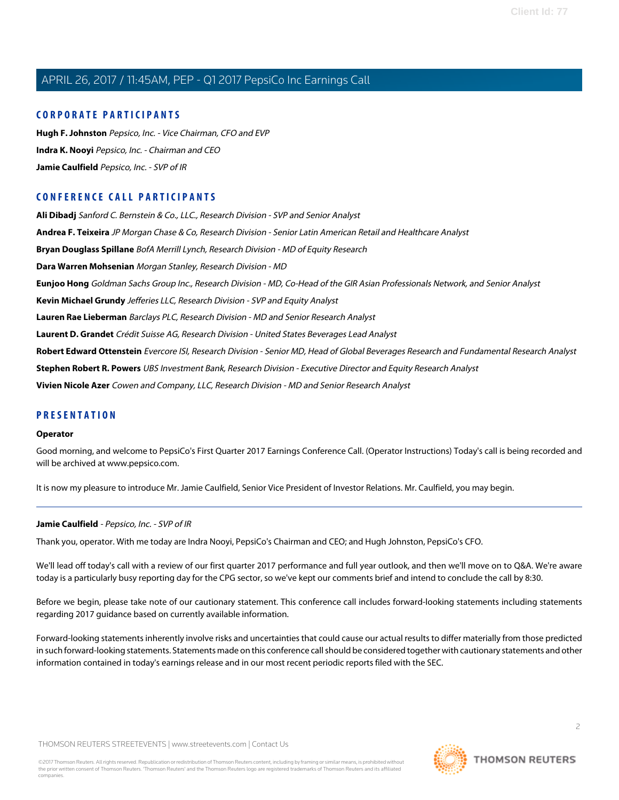## **CORPORATE PARTICIPANTS**

**[Hugh F. Johnston](#page-5-0)** Pepsico, Inc. - Vice Chairman, CFO and EVP **[Indra K. Nooyi](#page-2-0)** Pepsico, Inc. - Chairman and CEO **[Jamie Caulfield](#page-1-0)** Pepsico, Inc. - SVP of IR

# **CONFERENCE CALL PARTICIPANTS**

**[Ali Dibadj](#page-6-0)** Sanford C. Bernstein & Co., LLC., Research Division - SVP and Senior Analyst **[Andrea F. Teixeira](#page-8-0)** JP Morgan Chase & Co, Research Division - Senior Latin American Retail and Healthcare Analyst **[Bryan Douglass Spillane](#page-7-0)** BofA Merrill Lynch, Research Division - MD of Equity Research **[Dara Warren Mohsenian](#page-7-1)** Morgan Stanley, Research Division - MD **[Eunjoo Hong](#page-8-1)** Goldman Sachs Group Inc., Research Division - MD, Co-Head of the GIR Asian Professionals Network, and Senior Analyst **[Kevin Michael Grundy](#page-11-0)** Jefferies LLC, Research Division - SVP and Equity Analyst **[Lauren Rae Lieberman](#page-6-1)** Barclays PLC, Research Division - MD and Senior Research Analyst **[Laurent D. Grandet](#page-10-0)** Crédit Suisse AG, Research Division - United States Beverages Lead Analyst **[Robert Edward Ottenstein](#page-11-1)** Evercore ISI, Research Division - Senior MD, Head of Global Beverages Research and Fundamental Research Analyst **[Stephen Robert R. Powers](#page-9-0)** UBS Investment Bank, Research Division - Executive Director and Equity Research Analyst **[Vivien Nicole Azer](#page-10-1)** Cowen and Company, LLC, Research Division - MD and Senior Research Analyst

# **PRESENTATION**

#### **Operator**

Good morning, and welcome to PepsiCo's First Quarter 2017 Earnings Conference Call. (Operator Instructions) Today's call is being recorded and will be archived at www.pepsico.com.

<span id="page-1-0"></span>It is now my pleasure to introduce Mr. Jamie Caulfield, Senior Vice President of Investor Relations. Mr. Caulfield, you may begin.

#### **Jamie Caulfield** - Pepsico, Inc. - SVP of IR

Thank you, operator. With me today are Indra Nooyi, PepsiCo's Chairman and CEO; and Hugh Johnston, PepsiCo's CFO.

We'll lead off today's call with a review of our first quarter 2017 performance and full year outlook, and then we'll move on to Q&A. We're aware today is a particularly busy reporting day for the CPG sector, so we've kept our comments brief and intend to conclude the call by 8:30.

Before we begin, please take note of our cautionary statement. This conference call includes forward-looking statements including statements regarding 2017 guidance based on currently available information.

Forward-looking statements inherently involve risks and uncertainties that could cause our actual results to differ materially from those predicted in such forward-looking statements. Statements made on this conference call should be considered together with cautionary statements and other information contained in today's earnings release and in our most recent periodic reports filed with the SEC.

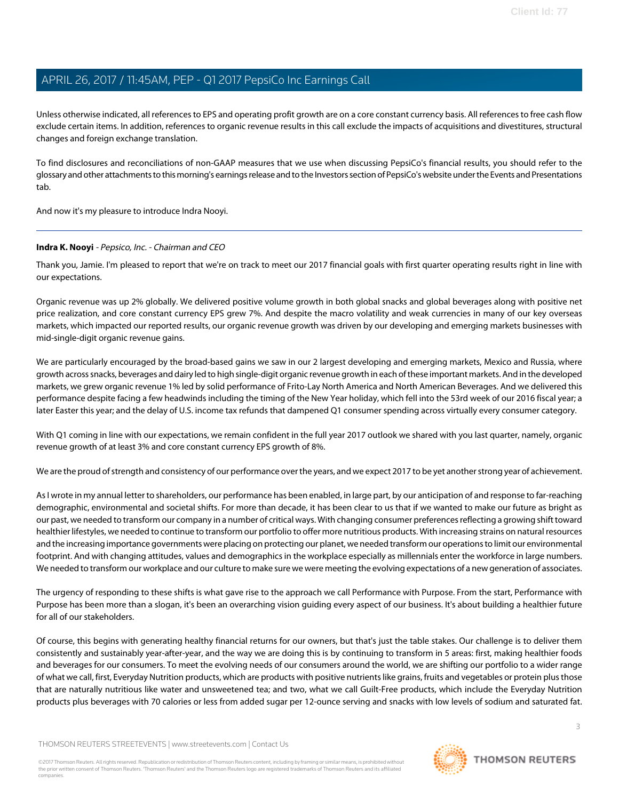Unless otherwise indicated, all references to EPS and operating profit growth are on a core constant currency basis. All references to free cash flow exclude certain items. In addition, references to organic revenue results in this call exclude the impacts of acquisitions and divestitures, structural changes and foreign exchange translation.

To find disclosures and reconciliations of non-GAAP measures that we use when discussing PepsiCo's financial results, you should refer to the glossary and other attachments to this morning's earnings release and to the Investors section of PepsiCo's website under the Events and Presentations tab.

<span id="page-2-0"></span>And now it's my pleasure to introduce Indra Nooyi.

## **Indra K. Nooyi** - Pepsico, Inc. - Chairman and CEO

Thank you, Jamie. I'm pleased to report that we're on track to meet our 2017 financial goals with first quarter operating results right in line with our expectations.

Organic revenue was up 2% globally. We delivered positive volume growth in both global snacks and global beverages along with positive net price realization, and core constant currency EPS grew 7%. And despite the macro volatility and weak currencies in many of our key overseas markets, which impacted our reported results, our organic revenue growth was driven by our developing and emerging markets businesses with mid-single-digit organic revenue gains.

We are particularly encouraged by the broad-based gains we saw in our 2 largest developing and emerging markets, Mexico and Russia, where growth across snacks, beverages and dairy led to high single-digit organic revenue growth in each of these important markets. And in the developed markets, we grew organic revenue 1% led by solid performance of Frito-Lay North America and North American Beverages. And we delivered this performance despite facing a few headwinds including the timing of the New Year holiday, which fell into the 53rd week of our 2016 fiscal year; a later Easter this year; and the delay of U.S. income tax refunds that dampened Q1 consumer spending across virtually every consumer category.

With Q1 coming in line with our expectations, we remain confident in the full year 2017 outlook we shared with you last quarter, namely, organic revenue growth of at least 3% and core constant currency EPS growth of 8%.

We are the proud of strength and consistency of our performance over the years, and we expect 2017 to be yet another strong year of achievement.

As I wrote in my annual letter to shareholders, our performance has been enabled, in large part, by our anticipation of and response to far-reaching demographic, environmental and societal shifts. For more than decade, it has been clear to us that if we wanted to make our future as bright as our past, we needed to transform our company in a number of critical ways. With changing consumer preferences reflecting a growing shift toward healthier lifestyles, we needed to continue to transform our portfolio to offer more nutritious products. With increasing strains on natural resources and the increasing importance governments were placing on protecting our planet, we needed transform our operations to limit our environmental footprint. And with changing attitudes, values and demographics in the workplace especially as millennials enter the workforce in large numbers. We needed to transform our workplace and our culture to make sure we were meeting the evolving expectations of a new generation of associates.

The urgency of responding to these shifts is what gave rise to the approach we call Performance with Purpose. From the start, Performance with Purpose has been more than a slogan, it's been an overarching vision guiding every aspect of our business. It's about building a healthier future for all of our stakeholders.

Of course, this begins with generating healthy financial returns for our owners, but that's just the table stakes. Our challenge is to deliver them consistently and sustainably year-after-year, and the way we are doing this is by continuing to transform in 5 areas: first, making healthier foods and beverages for our consumers. To meet the evolving needs of our consumers around the world, we are shifting our portfolio to a wider range of what we call, first, Everyday Nutrition products, which are products with positive nutrients like grains, fruits and vegetables or protein plus those that are naturally nutritious like water and unsweetened tea; and two, what we call Guilt-Free products, which include the Everyday Nutrition products plus beverages with 70 calories or less from added sugar per 12-ounce serving and snacks with low levels of sodium and saturated fat.

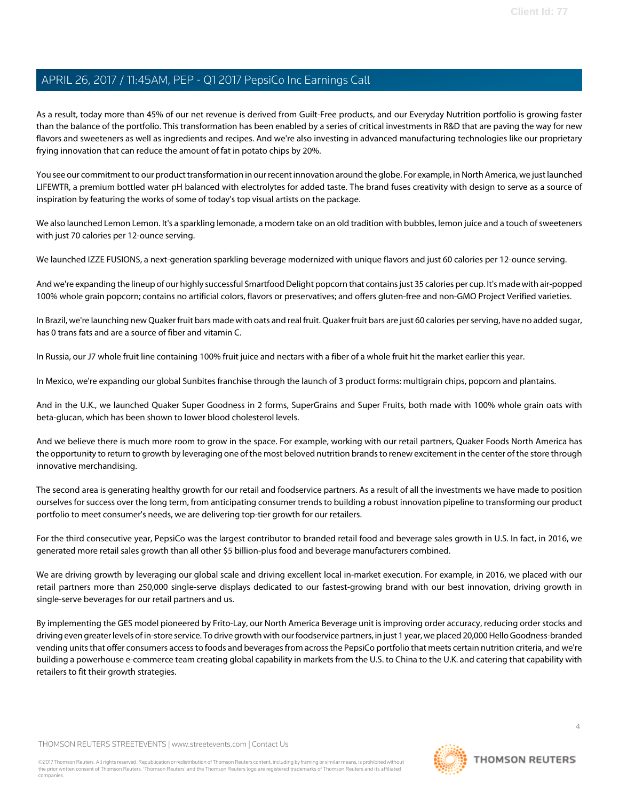As a result, today more than 45% of our net revenue is derived from Guilt-Free products, and our Everyday Nutrition portfolio is growing faster than the balance of the portfolio. This transformation has been enabled by a series of critical investments in R&D that are paving the way for new flavors and sweeteners as well as ingredients and recipes. And we're also investing in advanced manufacturing technologies like our proprietary frying innovation that can reduce the amount of fat in potato chips by 20%.

You see our commitment to our product transformation in our recent innovation around the globe. For example, in North America, we just launched LIFEWTR, a premium bottled water pH balanced with electrolytes for added taste. The brand fuses creativity with design to serve as a source of inspiration by featuring the works of some of today's top visual artists on the package.

We also launched Lemon Lemon. It's a sparkling lemonade, a modern take on an old tradition with bubbles, lemon juice and a touch of sweeteners with just 70 calories per 12-ounce serving.

We launched IZZE FUSIONS, a next-generation sparkling beverage modernized with unique flavors and just 60 calories per 12-ounce serving.

And we're expanding the lineup of our highly successful Smartfood Delight popcorn that contains just 35 calories per cup. It's made with air-popped 100% whole grain popcorn; contains no artificial colors, flavors or preservatives; and offers gluten-free and non-GMO Project Verified varieties.

In Brazil, we're launching new Quaker fruit bars made with oats and real fruit. Quaker fruit bars are just 60 calories per serving, have no added sugar, has 0 trans fats and are a source of fiber and vitamin C.

In Russia, our J7 whole fruit line containing 100% fruit juice and nectars with a fiber of a whole fruit hit the market earlier this year.

In Mexico, we're expanding our global Sunbites franchise through the launch of 3 product forms: multigrain chips, popcorn and plantains.

And in the U.K., we launched Quaker Super Goodness in 2 forms, SuperGrains and Super Fruits, both made with 100% whole grain oats with beta-glucan, which has been shown to lower blood cholesterol levels.

And we believe there is much more room to grow in the space. For example, working with our retail partners, Quaker Foods North America has the opportunity to return to growth by leveraging one of the most beloved nutrition brands to renew excitement in the center of the store through innovative merchandising.

The second area is generating healthy growth for our retail and foodservice partners. As a result of all the investments we have made to position ourselves for success over the long term, from anticipating consumer trends to building a robust innovation pipeline to transforming our product portfolio to meet consumer's needs, we are delivering top-tier growth for our retailers.

For the third consecutive year, PepsiCo was the largest contributor to branded retail food and beverage sales growth in U.S. In fact, in 2016, we generated more retail sales growth than all other \$5 billion-plus food and beverage manufacturers combined.

We are driving growth by leveraging our global scale and driving excellent local in-market execution. For example, in 2016, we placed with our retail partners more than 250,000 single-serve displays dedicated to our fastest-growing brand with our best innovation, driving growth in single-serve beverages for our retail partners and us.

By implementing the GES model pioneered by Frito-Lay, our North America Beverage unit is improving order accuracy, reducing order stocks and driving even greater levels of in-store service. To drive growth with our foodservice partners, in just 1 year, we placed 20,000 Hello Goodness-branded vending units that offer consumers access to foods and beverages from across the PepsiCo portfolio that meets certain nutrition criteria, and we're building a powerhouse e-commerce team creating global capability in markets from the U.S. to China to the U.K. and catering that capability with retailers to fit their growth strategies.

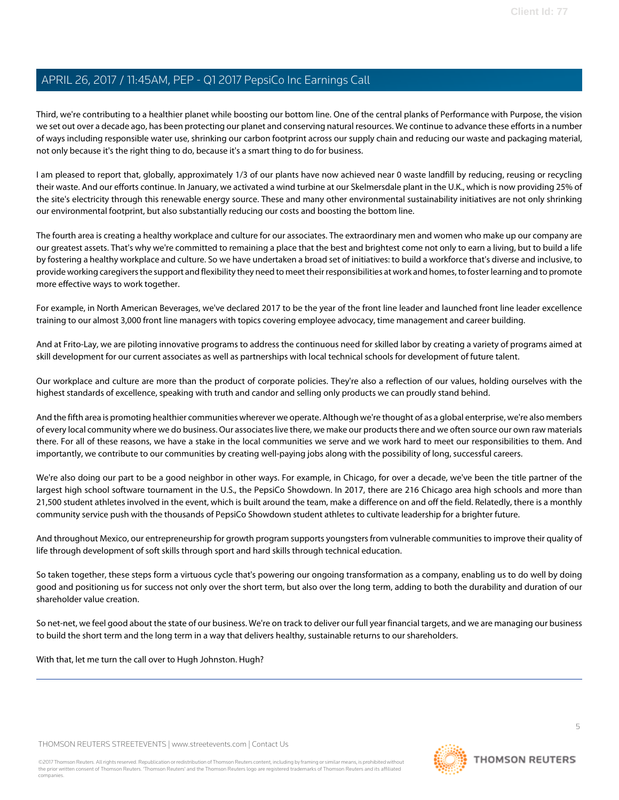Third, we're contributing to a healthier planet while boosting our bottom line. One of the central planks of Performance with Purpose, the vision we set out over a decade ago, has been protecting our planet and conserving natural resources. We continue to advance these efforts in a number of ways including responsible water use, shrinking our carbon footprint across our supply chain and reducing our waste and packaging material, not only because it's the right thing to do, because it's a smart thing to do for business.

I am pleased to report that, globally, approximately 1/3 of our plants have now achieved near 0 waste landfill by reducing, reusing or recycling their waste. And our efforts continue. In January, we activated a wind turbine at our Skelmersdale plant in the U.K., which is now providing 25% of the site's electricity through this renewable energy source. These and many other environmental sustainability initiatives are not only shrinking our environmental footprint, but also substantially reducing our costs and boosting the bottom line.

The fourth area is creating a healthy workplace and culture for our associates. The extraordinary men and women who make up our company are our greatest assets. That's why we're committed to remaining a place that the best and brightest come not only to earn a living, but to build a life by fostering a healthy workplace and culture. So we have undertaken a broad set of initiatives: to build a workforce that's diverse and inclusive, to provide working caregivers the support and flexibility they need to meet their responsibilities at work and homes, to foster learning and to promote more effective ways to work together.

For example, in North American Beverages, we've declared 2017 to be the year of the front line leader and launched front line leader excellence training to our almost 3,000 front line managers with topics covering employee advocacy, time management and career building.

And at Frito-Lay, we are piloting innovative programs to address the continuous need for skilled labor by creating a variety of programs aimed at skill development for our current associates as well as partnerships with local technical schools for development of future talent.

Our workplace and culture are more than the product of corporate policies. They're also a reflection of our values, holding ourselves with the highest standards of excellence, speaking with truth and candor and selling only products we can proudly stand behind.

And the fifth area is promoting healthier communities wherever we operate. Although we're thought of as a global enterprise, we're also members of every local community where we do business. Our associates live there, we make our products there and we often source our own raw materials there. For all of these reasons, we have a stake in the local communities we serve and we work hard to meet our responsibilities to them. And importantly, we contribute to our communities by creating well-paying jobs along with the possibility of long, successful careers.

We're also doing our part to be a good neighbor in other ways. For example, in Chicago, for over a decade, we've been the title partner of the largest high school software tournament in the U.S., the PepsiCo Showdown. In 2017, there are 216 Chicago area high schools and more than 21,500 student athletes involved in the event, which is built around the team, make a difference on and off the field. Relatedly, there is a monthly community service push with the thousands of PepsiCo Showdown student athletes to cultivate leadership for a brighter future.

And throughout Mexico, our entrepreneurship for growth program supports youngsters from vulnerable communities to improve their quality of life through development of soft skills through sport and hard skills through technical education.

So taken together, these steps form a virtuous cycle that's powering our ongoing transformation as a company, enabling us to do well by doing good and positioning us for success not only over the short term, but also over the long term, adding to both the durability and duration of our shareholder value creation.

So net-net, we feel good about the state of our business. We're on track to deliver our full year financial targets, and we are managing our business to build the short term and the long term in a way that delivers healthy, sustainable returns to our shareholders.

With that, let me turn the call over to Hugh Johnston. Hugh?

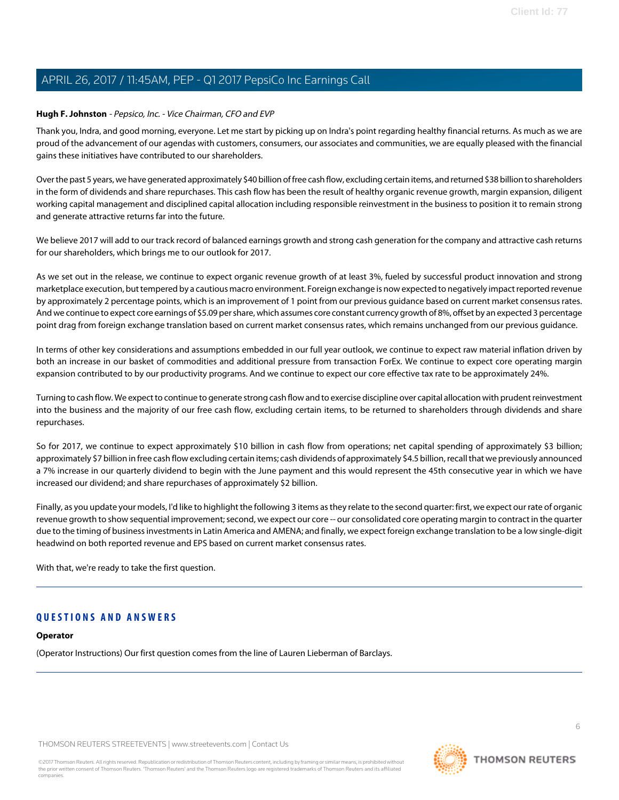## <span id="page-5-0"></span>**Hugh F. Johnston** - Pepsico, Inc. - Vice Chairman, CFO and EVP

Thank you, Indra, and good morning, everyone. Let me start by picking up on Indra's point regarding healthy financial returns. As much as we are proud of the advancement of our agendas with customers, consumers, our associates and communities, we are equally pleased with the financial gains these initiatives have contributed to our shareholders.

Over the past 5 years, we have generated approximately \$40 billion of free cash flow, excluding certain items, and returned \$38 billion to shareholders in the form of dividends and share repurchases. This cash flow has been the result of healthy organic revenue growth, margin expansion, diligent working capital management and disciplined capital allocation including responsible reinvestment in the business to position it to remain strong and generate attractive returns far into the future.

We believe 2017 will add to our track record of balanced earnings growth and strong cash generation for the company and attractive cash returns for our shareholders, which brings me to our outlook for 2017.

As we set out in the release, we continue to expect organic revenue growth of at least 3%, fueled by successful product innovation and strong marketplace execution, but tempered by a cautious macro environment. Foreign exchange is now expected to negatively impact reported revenue by approximately 2 percentage points, which is an improvement of 1 point from our previous guidance based on current market consensus rates. And we continue to expect core earnings of \$5.09 per share, which assumes core constant currency growth of 8%, offset by an expected 3 percentage point drag from foreign exchange translation based on current market consensus rates, which remains unchanged from our previous guidance.

In terms of other key considerations and assumptions embedded in our full year outlook, we continue to expect raw material inflation driven by both an increase in our basket of commodities and additional pressure from transaction ForEx. We continue to expect core operating margin expansion contributed to by our productivity programs. And we continue to expect our core effective tax rate to be approximately 24%.

Turning to cash flow. We expect to continue to generate strong cash flow and to exercise discipline over capital allocation with prudent reinvestment into the business and the majority of our free cash flow, excluding certain items, to be returned to shareholders through dividends and share repurchases.

So for 2017, we continue to expect approximately \$10 billion in cash flow from operations; net capital spending of approximately \$3 billion; approximately \$7 billion in free cash flow excluding certain items; cash dividends of approximately \$4.5 billion, recall that we previously announced a 7% increase in our quarterly dividend to begin with the June payment and this would represent the 45th consecutive year in which we have increased our dividend; and share repurchases of approximately \$2 billion.

Finally, as you update your models, I'd like to highlight the following 3 items as they relate to the second quarter: first, we expect our rate of organic revenue growth to show sequential improvement; second, we expect our core -- our consolidated core operating margin to contract in the quarter due to the timing of business investments in Latin America and AMENA; and finally, we expect foreign exchange translation to be a low single-digit headwind on both reported revenue and EPS based on current market consensus rates.

With that, we're ready to take the first question.

# **QUESTIONS AND ANSWERS**

# **Operator**

(Operator Instructions) Our first question comes from the line of Lauren Lieberman of Barclays.

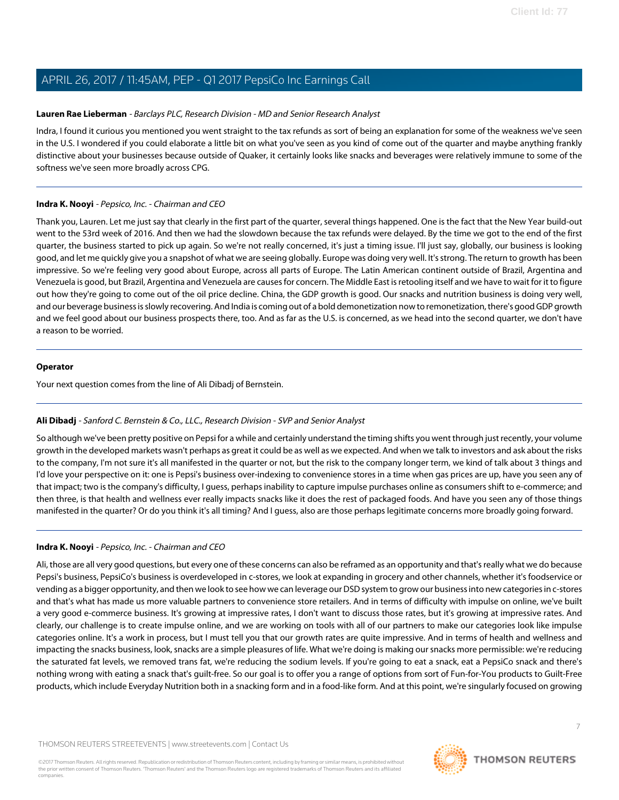## <span id="page-6-1"></span>**Lauren Rae Lieberman** - Barclays PLC, Research Division - MD and Senior Research Analyst

Indra, I found it curious you mentioned you went straight to the tax refunds as sort of being an explanation for some of the weakness we've seen in the U.S. I wondered if you could elaborate a little bit on what you've seen as you kind of come out of the quarter and maybe anything frankly distinctive about your businesses because outside of Quaker, it certainly looks like snacks and beverages were relatively immune to some of the softness we've seen more broadly across CPG.

## **Indra K. Nooyi** - Pepsico, Inc. - Chairman and CEO

Thank you, Lauren. Let me just say that clearly in the first part of the quarter, several things happened. One is the fact that the New Year build-out went to the 53rd week of 2016. And then we had the slowdown because the tax refunds were delayed. By the time we got to the end of the first quarter, the business started to pick up again. So we're not really concerned, it's just a timing issue. I'll just say, globally, our business is looking good, and let me quickly give you a snapshot of what we are seeing globally. Europe was doing very well. It's strong. The return to growth has been impressive. So we're feeling very good about Europe, across all parts of Europe. The Latin American continent outside of Brazil, Argentina and Venezuela is good, but Brazil, Argentina and Venezuela are causes for concern. The Middle East is retooling itself and we have to wait for it to figure out how they're going to come out of the oil price decline. China, the GDP growth is good. Our snacks and nutrition business is doing very well, and our beverage business is slowly recovering. And India is coming out of a bold demonetization now to remonetization, there's good GDP growth and we feel good about our business prospects there, too. And as far as the U.S. is concerned, as we head into the second quarter, we don't have a reason to be worried.

#### **Operator**

<span id="page-6-0"></span>Your next question comes from the line of Ali Dibadj of Bernstein.

# **Ali Dibadj** - Sanford C. Bernstein & Co., LLC., Research Division - SVP and Senior Analyst

So although we've been pretty positive on Pepsi for a while and certainly understand the timing shifts you went through just recently, your volume growth in the developed markets wasn't perhaps as great it could be as well as we expected. And when we talk to investors and ask about the risks to the company, I'm not sure it's all manifested in the quarter or not, but the risk to the company longer term, we kind of talk about 3 things and I'd love your perspective on it: one is Pepsi's business over-indexing to convenience stores in a time when gas prices are up, have you seen any of that impact; two is the company's difficulty, I guess, perhaps inability to capture impulse purchases online as consumers shift to e-commerce; and then three, is that health and wellness ever really impacts snacks like it does the rest of packaged foods. And have you seen any of those things manifested in the quarter? Or do you think it's all timing? And I guess, also are those perhaps legitimate concerns more broadly going forward.

#### **Indra K. Nooyi** - Pepsico, Inc. - Chairman and CEO

Ali, those are all very good questions, but every one of these concerns can also be reframed as an opportunity and that's really what we do because Pepsi's business, PepsiCo's business is overdeveloped in c-stores, we look at expanding in grocery and other channels, whether it's foodservice or vending as a bigger opportunity, and then we look to see how we can leverage our DSD system to grow our business into new categories in c-stores and that's what has made us more valuable partners to convenience store retailers. And in terms of difficulty with impulse on online, we've built a very good e-commerce business. It's growing at impressive rates, I don't want to discuss those rates, but it's growing at impressive rates. And clearly, our challenge is to create impulse online, and we are working on tools with all of our partners to make our categories look like impulse categories online. It's a work in process, but I must tell you that our growth rates are quite impressive. And in terms of health and wellness and impacting the snacks business, look, snacks are a simple pleasures of life. What we're doing is making our snacks more permissible: we're reducing the saturated fat levels, we removed trans fat, we're reducing the sodium levels. If you're going to eat a snack, eat a PepsiCo snack and there's nothing wrong with eating a snack that's guilt-free. So our goal is to offer you a range of options from sort of Fun-for-You products to Guilt-Free products, which include Everyday Nutrition both in a snacking form and in a food-like form. And at this point, we're singularly focused on growing

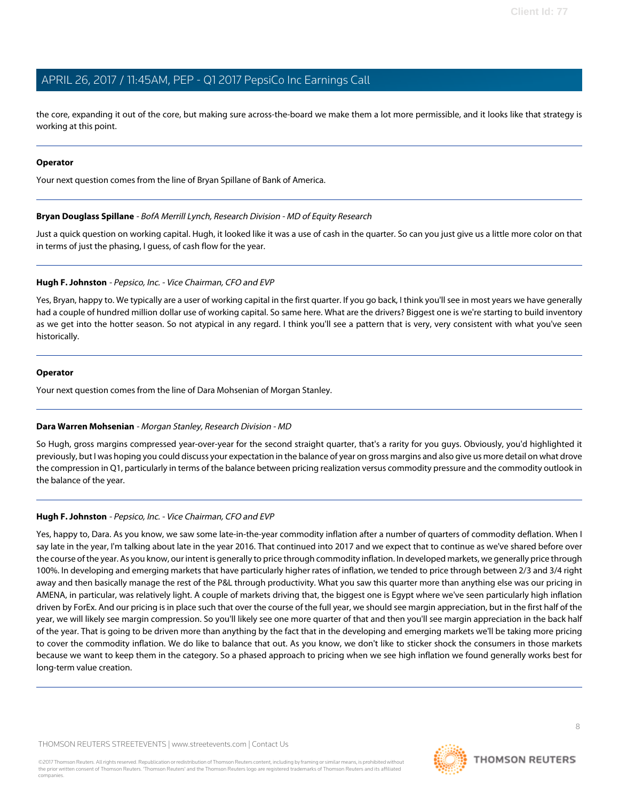the core, expanding it out of the core, but making sure across-the-board we make them a lot more permissible, and it looks like that strategy is working at this point.

#### **Operator**

<span id="page-7-0"></span>Your next question comes from the line of Bryan Spillane of Bank of America.

## **Bryan Douglass Spillane** - BofA Merrill Lynch, Research Division - MD of Equity Research

Just a quick question on working capital. Hugh, it looked like it was a use of cash in the quarter. So can you just give us a little more color on that in terms of just the phasing, I guess, of cash flow for the year.

## **Hugh F. Johnston** - Pepsico, Inc. - Vice Chairman, CFO and EVP

Yes, Bryan, happy to. We typically are a user of working capital in the first quarter. If you go back, I think you'll see in most years we have generally had a couple of hundred million dollar use of working capital. So same here. What are the drivers? Biggest one is we're starting to build inventory as we get into the hotter season. So not atypical in any regard. I think you'll see a pattern that is very, very consistent with what you've seen historically.

## **Operator**

<span id="page-7-1"></span>Your next question comes from the line of Dara Mohsenian of Morgan Stanley.

# **Dara Warren Mohsenian** - Morgan Stanley, Research Division - MD

So Hugh, gross margins compressed year-over-year for the second straight quarter, that's a rarity for you guys. Obviously, you'd highlighted it previously, but I was hoping you could discuss your expectation in the balance of year on gross margins and also give us more detail on what drove the compression in Q1, particularly in terms of the balance between pricing realization versus commodity pressure and the commodity outlook in the balance of the year.

# **Hugh F. Johnston** - Pepsico, Inc. - Vice Chairman, CFO and EVP

Yes, happy to, Dara. As you know, we saw some late-in-the-year commodity inflation after a number of quarters of commodity deflation. When I say late in the year, I'm talking about late in the year 2016. That continued into 2017 and we expect that to continue as we've shared before over the course of the year. As you know, our intent is generally to price through commodity inflation. In developed markets, we generally price through 100%. In developing and emerging markets that have particularly higher rates of inflation, we tended to price through between 2/3 and 3/4 right away and then basically manage the rest of the P&L through productivity. What you saw this quarter more than anything else was our pricing in AMENA, in particular, was relatively light. A couple of markets driving that, the biggest one is Egypt where we've seen particularly high inflation driven by ForEx. And our pricing is in place such that over the course of the full year, we should see margin appreciation, but in the first half of the year, we will likely see margin compression. So you'll likely see one more quarter of that and then you'll see margin appreciation in the back half of the year. That is going to be driven more than anything by the fact that in the developing and emerging markets we'll be taking more pricing to cover the commodity inflation. We do like to balance that out. As you know, we don't like to sticker shock the consumers in those markets because we want to keep them in the category. So a phased approach to pricing when we see high inflation we found generally works best for long-term value creation.

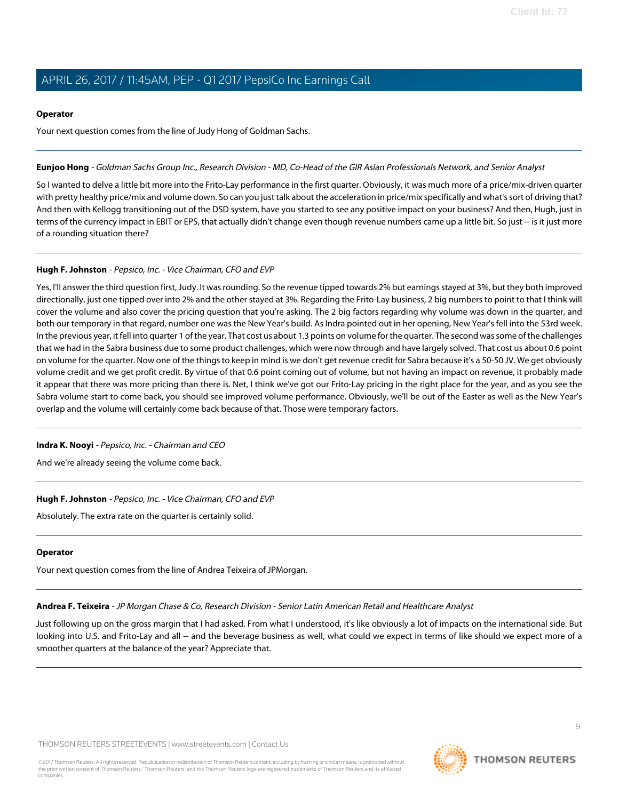#### **Operator**

Your next question comes from the line of Judy Hong of Goldman Sachs.

### <span id="page-8-1"></span>**Eunjoo Hong** - Goldman Sachs Group Inc., Research Division - MD, Co-Head of the GIR Asian Professionals Network, and Senior Analyst

So I wanted to delve a little bit more into the Frito-Lay performance in the first quarter. Obviously, it was much more of a price/mix-driven quarter with pretty healthy price/mix and volume down. So can you just talk about the acceleration in price/mix specifically and what's sort of driving that? And then with Kellogg transitioning out of the DSD system, have you started to see any positive impact on your business? And then, Hugh, just in terms of the currency impact in EBIT or EPS, that actually didn't change even though revenue numbers came up a little bit. So just -- is it just more of a rounding situation there?

# **Hugh F. Johnston** - Pepsico, Inc. - Vice Chairman, CFO and EVP

Yes, I'll answer the third question first, Judy. It was rounding. So the revenue tipped towards 2% but earnings stayed at 3%, but they both improved directionally, just one tipped over into 2% and the other stayed at 3%. Regarding the Frito-Lay business, 2 big numbers to point to that I think will cover the volume and also cover the pricing question that you're asking. The 2 big factors regarding why volume was down in the quarter, and both our temporary in that regard, number one was the New Year's build. As Indra pointed out in her opening, New Year's fell into the 53rd week. In the previous year, it fell into quarter 1 of the year. That cost us about 1.3 points on volume for the quarter. The second was some of the challenges that we had in the Sabra business due to some product challenges, which were now through and have largely solved. That cost us about 0.6 point on volume for the quarter. Now one of the things to keep in mind is we don't get revenue credit for Sabra because it's a 50-50 JV. We get obviously volume credit and we get profit credit. By virtue of that 0.6 point coming out of volume, but not having an impact on revenue, it probably made it appear that there was more pricing than there is. Net, I think we've got our Frito-Lay pricing in the right place for the year, and as you see the Sabra volume start to come back, you should see improved volume performance. Obviously, we'll be out of the Easter as well as the New Year's overlap and the volume will certainly come back because of that. Those were temporary factors.

#### **Indra K. Nooyi** - Pepsico, Inc. - Chairman and CEO

And we're already seeing the volume come back.

# **Hugh F. Johnston** - Pepsico, Inc. - Vice Chairman, CFO and EVP

Absolutely. The extra rate on the quarter is certainly solid.

#### <span id="page-8-0"></span>**Operator**

Your next question comes from the line of Andrea Teixeira of JPMorgan.

**Andrea F. Teixeira** - JP Morgan Chase & Co, Research Division - Senior Latin American Retail and Healthcare Analyst

Just following up on the gross margin that I had asked. From what I understood, it's like obviously a lot of impacts on the international side. But looking into U.S. and Frito-Lay and all -- and the beverage business as well, what could we expect in terms of like should we expect more of a smoother quarters at the balance of the year? Appreciate that.

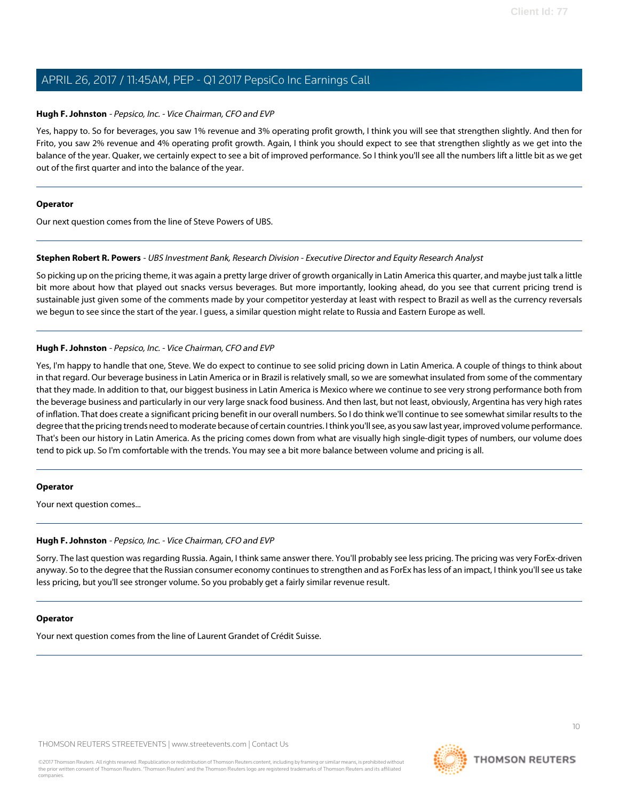## **Hugh F. Johnston** - Pepsico, Inc. - Vice Chairman, CFO and EVP

Yes, happy to. So for beverages, you saw 1% revenue and 3% operating profit growth, I think you will see that strengthen slightly. And then for Frito, you saw 2% revenue and 4% operating profit growth. Again, I think you should expect to see that strengthen slightly as we get into the balance of the year. Quaker, we certainly expect to see a bit of improved performance. So I think you'll see all the numbers lift a little bit as we get out of the first quarter and into the balance of the year.

#### **Operator**

<span id="page-9-0"></span>Our next question comes from the line of Steve Powers of UBS.

#### **Stephen Robert R. Powers** - UBS Investment Bank, Research Division - Executive Director and Equity Research Analyst

So picking up on the pricing theme, it was again a pretty large driver of growth organically in Latin America this quarter, and maybe just talk a little bit more about how that played out snacks versus beverages. But more importantly, looking ahead, do you see that current pricing trend is sustainable just given some of the comments made by your competitor yesterday at least with respect to Brazil as well as the currency reversals we begun to see since the start of the year. I guess, a similar question might relate to Russia and Eastern Europe as well.

#### **Hugh F. Johnston** - Pepsico, Inc. - Vice Chairman, CFO and EVP

Yes, I'm happy to handle that one, Steve. We do expect to continue to see solid pricing down in Latin America. A couple of things to think about in that regard. Our beverage business in Latin America or in Brazil is relatively small, so we are somewhat insulated from some of the commentary that they made. In addition to that, our biggest business in Latin America is Mexico where we continue to see very strong performance both from the beverage business and particularly in our very large snack food business. And then last, but not least, obviously, Argentina has very high rates of inflation. That does create a significant pricing benefit in our overall numbers. So I do think we'll continue to see somewhat similar results to the degree that the pricing trends need to moderate because of certain countries. I think you'll see, as you saw last year, improved volume performance. That's been our history in Latin America. As the pricing comes down from what are visually high single-digit types of numbers, our volume does tend to pick up. So I'm comfortable with the trends. You may see a bit more balance between volume and pricing is all.

#### **Operator**

Your next question comes...

#### **Hugh F. Johnston** - Pepsico, Inc. - Vice Chairman, CFO and EVP

Sorry. The last question was regarding Russia. Again, I think same answer there. You'll probably see less pricing. The pricing was very ForEx-driven anyway. So to the degree that the Russian consumer economy continues to strengthen and as ForEx has less of an impact, I think you'll see us take less pricing, but you'll see stronger volume. So you probably get a fairly similar revenue result.

#### **Operator**

Your next question comes from the line of Laurent Grandet of Crédit Suisse.

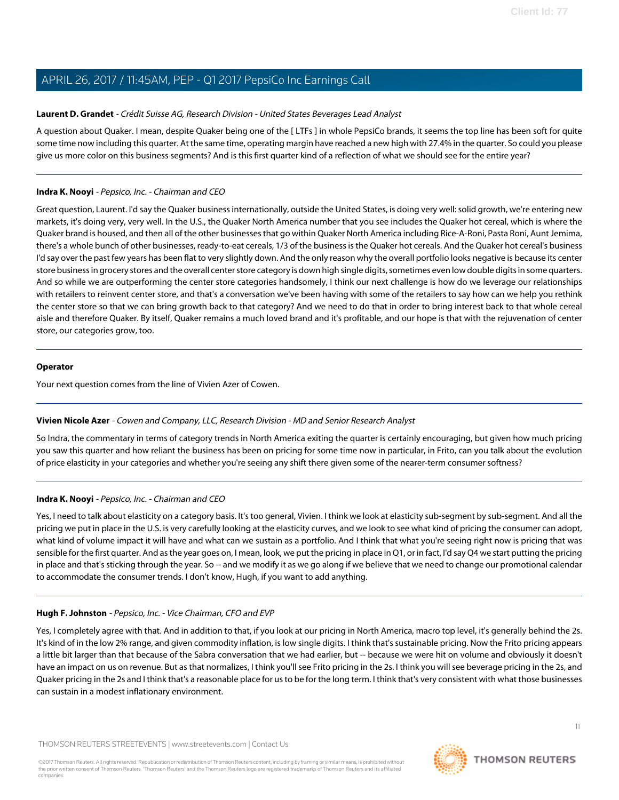## <span id="page-10-0"></span>**Laurent D. Grandet** - Crédit Suisse AG, Research Division - United States Beverages Lead Analyst

A question about Quaker. I mean, despite Quaker being one of the [ LTFs ] in whole PepsiCo brands, it seems the top line has been soft for quite some time now including this quarter. At the same time, operating margin have reached a new high with 27.4% in the quarter. So could you please give us more color on this business segments? And is this first quarter kind of a reflection of what we should see for the entire year?

## **Indra K. Nooyi** - Pepsico, Inc. - Chairman and CEO

Great question, Laurent. I'd say the Quaker business internationally, outside the United States, is doing very well: solid growth, we're entering new markets, it's doing very, very well. In the U.S., the Quaker North America number that you see includes the Quaker hot cereal, which is where the Quaker brand is housed, and then all of the other businesses that go within Quaker North America including Rice-A-Roni, Pasta Roni, Aunt Jemima, there's a whole bunch of other businesses, ready-to-eat cereals, 1/3 of the business is the Quaker hot cereals. And the Quaker hot cereal's business I'd say over the past few years has been flat to very slightly down. And the only reason why the overall portfolio looks negative is because its center store business in grocery stores and the overall center store category is down high single digits, sometimes even low double digits in some quarters. And so while we are outperforming the center store categories handsomely, I think our next challenge is how do we leverage our relationships with retailers to reinvent center store, and that's a conversation we've been having with some of the retailers to say how can we help you rethink the center store so that we can bring growth back to that category? And we need to do that in order to bring interest back to that whole cereal aisle and therefore Quaker. By itself, Quaker remains a much loved brand and it's profitable, and our hope is that with the rejuvenation of center store, our categories grow, too.

#### **Operator**

<span id="page-10-1"></span>Your next question comes from the line of Vivien Azer of Cowen.

#### **Vivien Nicole Azer** - Cowen and Company, LLC, Research Division - MD and Senior Research Analyst

So Indra, the commentary in terms of category trends in North America exiting the quarter is certainly encouraging, but given how much pricing you saw this quarter and how reliant the business has been on pricing for some time now in particular, in Frito, can you talk about the evolution of price elasticity in your categories and whether you're seeing any shift there given some of the nearer-term consumer softness?

# **Indra K. Nooyi** - Pepsico, Inc. - Chairman and CEO

Yes, I need to talk about elasticity on a category basis. It's too general, Vivien. I think we look at elasticity sub-segment by sub-segment. And all the pricing we put in place in the U.S. is very carefully looking at the elasticity curves, and we look to see what kind of pricing the consumer can adopt, what kind of volume impact it will have and what can we sustain as a portfolio. And I think that what you're seeing right now is pricing that was sensible for the first quarter. And as the year goes on, I mean, look, we put the pricing in place in Q1, or in fact, I'd say Q4 we start putting the pricing in place and that's sticking through the year. So -- and we modify it as we go along if we believe that we need to change our promotional calendar to accommodate the consumer trends. I don't know, Hugh, if you want to add anything.

# **Hugh F. Johnston** - Pepsico, Inc. - Vice Chairman, CFO and EVP

Yes, I completely agree with that. And in addition to that, if you look at our pricing in North America, macro top level, it's generally behind the 2s. It's kind of in the low 2% range, and given commodity inflation, is low single digits. I think that's sustainable pricing. Now the Frito pricing appears a little bit larger than that because of the Sabra conversation that we had earlier, but -- because we were hit on volume and obviously it doesn't have an impact on us on revenue. But as that normalizes, I think you'll see Frito pricing in the 2s. I think you will see beverage pricing in the 2s, and Quaker pricing in the 2s and I think that's a reasonable place for us to be for the long term. I think that's very consistent with what those businesses can sustain in a modest inflationary environment.

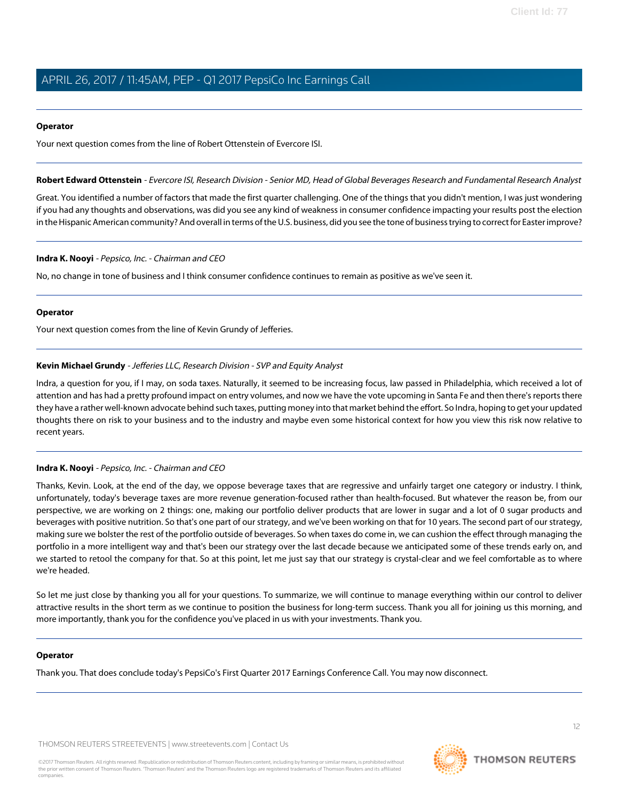#### **Operator**

<span id="page-11-1"></span>Your next question comes from the line of Robert Ottenstein of Evercore ISI.

**Robert Edward Ottenstein** - Evercore ISI, Research Division - Senior MD, Head of Global Beverages Research and Fundamental Research Analyst

Great. You identified a number of factors that made the first quarter challenging. One of the things that you didn't mention, I was just wondering if you had any thoughts and observations, was did you see any kind of weakness in consumer confidence impacting your results post the election in the Hispanic American community? And overall in terms of the U.S. business, did you see the tone of business trying to correct for Easter improve?

#### **Indra K. Nooyi** - Pepsico, Inc. - Chairman and CEO

No, no change in tone of business and I think consumer confidence continues to remain as positive as we've seen it.

#### **Operator**

<span id="page-11-0"></span>Your next question comes from the line of Kevin Grundy of Jefferies.

#### **Kevin Michael Grundy** - Jefferies LLC, Research Division - SVP and Equity Analyst

Indra, a question for you, if I may, on soda taxes. Naturally, it seemed to be increasing focus, law passed in Philadelphia, which received a lot of attention and has had a pretty profound impact on entry volumes, and now we have the vote upcoming in Santa Fe and then there's reports there they have a rather well-known advocate behind such taxes, putting money into that market behind the effort. So Indra, hoping to get your updated thoughts there on risk to your business and to the industry and maybe even some historical context for how you view this risk now relative to recent years.

#### **Indra K. Nooyi** - Pepsico, Inc. - Chairman and CEO

Thanks, Kevin. Look, at the end of the day, we oppose beverage taxes that are regressive and unfairly target one category or industry. I think, unfortunately, today's beverage taxes are more revenue generation-focused rather than health-focused. But whatever the reason be, from our perspective, we are working on 2 things: one, making our portfolio deliver products that are lower in sugar and a lot of 0 sugar products and beverages with positive nutrition. So that's one part of our strategy, and we've been working on that for 10 years. The second part of our strategy, making sure we bolster the rest of the portfolio outside of beverages. So when taxes do come in, we can cushion the effect through managing the portfolio in a more intelligent way and that's been our strategy over the last decade because we anticipated some of these trends early on, and we started to retool the company for that. So at this point, let me just say that our strategy is crystal-clear and we feel comfortable as to where we're headed.

So let me just close by thanking you all for your questions. To summarize, we will continue to manage everything within our control to deliver attractive results in the short term as we continue to position the business for long-term success. Thank you all for joining us this morning, and more importantly, thank you for the confidence you've placed in us with your investments. Thank you.

#### **Operator**

Thank you. That does conclude today's PepsiCo's First Quarter 2017 Earnings Conference Call. You may now disconnect.